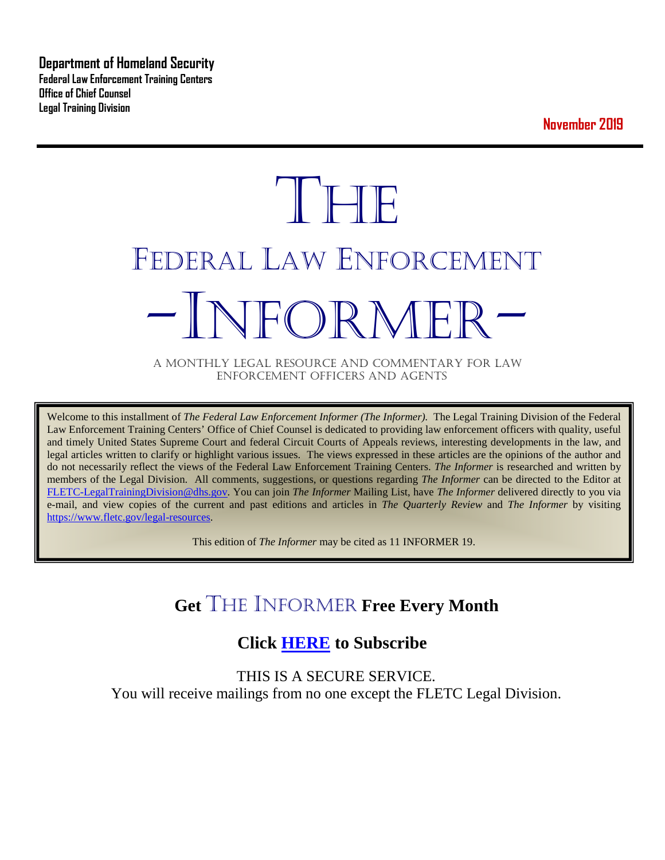**Department of Homeland Security Federal Law Enforcement Training Centers Office of Chief Counsel Legal Training Division** 

**November 2019**

# **THE** FEDERAL LAW ENFORCEMENT -INFORMER- A MONTHLY LEGAL RESOURCE AND COMMENTARY FOR LAW

ENFORCEMENT OFFICERS AND AGENTS

Welcome to this installment of *The Federal Law Enforcement Informer (The Informer).* The Legal Training Division of the Federal Law Enforcement Training Centers' Office of Chief Counsel is dedicated to providing law enforcement officers with quality, useful and timely United States Supreme Court and federal Circuit Courts of Appeals reviews, interesting developments in the law, and legal articles written to clarify or highlight various issues. The views expressed in these articles are the opinions of the author and do not necessarily reflect the views of the Federal Law Enforcement Training Centers. *The Informer* is researched and written by members of the Legal Division. All comments, suggestions, or questions regarding *The Informer* can be directed to the Editor at [FLETC-LegalTrainingDivision@dhs.gov.](mailto:FLETC-LegalTrainingDivision@dhs.gov) You can join *The Informer* Mailing List, have *The Informer* delivered directly to you via e-mail, and view copies of the current and past editions and articles in *The Quarterly Review* and *The Informer* by visiting [https://www.fletc.gov/legal-resources.](https://www.fletc.gov/legal-resources)

This edition of *The Informer* may be cited as 11 INFORMER 19.

# **Get** THE INFORMER **Free Every Month**

# **Click [HERE](https://app.co-sender.com/opt-in/list/7b007eab-378b-4542-807f-44d6de94cb7e) to Subscribe**

THIS IS A SECURE SERVICE. You will receive mailings from no one except the FLETC Legal Division.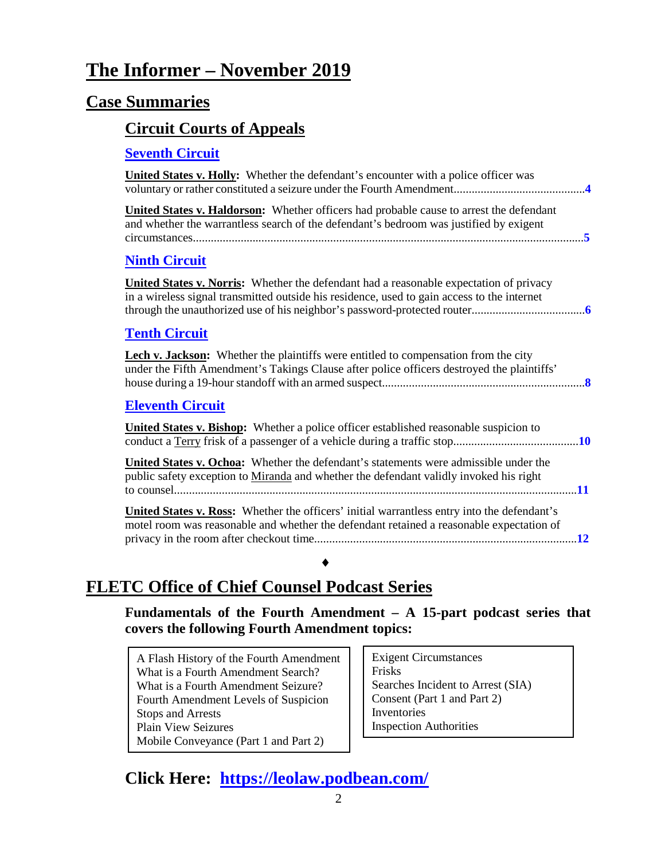# **The Informer – November 2019**

### **Case Summaries**

#### **[Circuit Courts of Appeals](#page-3-0)**

#### **[Seventh Circuit](#page-3-1)**

| <b>United States v. Holly:</b> Whether the defendant's encounter with a police officer was                                                                                                   |
|----------------------------------------------------------------------------------------------------------------------------------------------------------------------------------------------|
| United States v. Haldorson: Whether officers had probable cause to arrest the defendant<br>and whether the warrantless search of the defendant's bedroom was justified by exigent            |
| <b>Ninth Circuit</b>                                                                                                                                                                         |
| <b>United States v. Norris:</b> Whether the defendant had a reasonable expectation of privacy<br>in a wireless signal transmitted outside his residence, used to gain access to the internet |
| <b>Tenth Circuit</b>                                                                                                                                                                         |
| <b>Lech v. Jackson:</b> Whether the plaintiffs were entitled to compensation from the city<br>under the Fifth Amendment's Takings Clause after police officers destroyed the plaintiffs'     |
| <b>Eleventh Circuit</b>                                                                                                                                                                      |
| <b>United States v. Bishop:</b> Whether a police officer established reasonable suspicion to                                                                                                 |
| <b>United States v. Ochoa:</b> Whether the defendant's statements were admissible under the<br>public safety exception to Miranda and whether the defendant validly invoked his right        |
| United States v. Ross: Whether the officers' initial warrantless entry into the defendant's<br>motel room was reasonable and whether the defendant retained a reasonable expectation of      |
|                                                                                                                                                                                              |

# **FLETC Office of Chief Counsel Podcast Series**

**Fundamentals of the Fourth Amendment – A 15-part podcast series that covers the following Fourth Amendment topics:** 

A Flash History of the Fourth Amendment What is a Fourth Amendment Search? What is a Fourth Amendment Seizure? Fourth Amendment Levels of Suspicion Stops and Arrests Plain View Seizures Mobile Conveyance (Part 1 and Part 2)

Exigent Circumstances Frisks Searches Incident to Arrest (SIA) Consent (Part 1 and Part 2) Inventories Inspection Authorities

# **Click Here: <https://leolaw.podbean.com/>**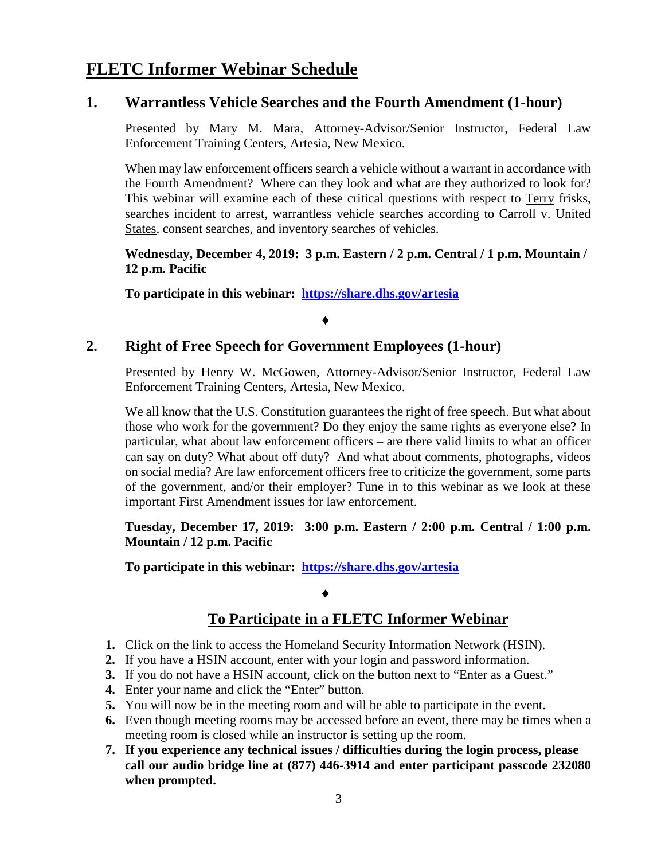## **FLETC Informer Webinar Schedule**

#### **1. Warrantless Vehicle Searches and the Fourth Amendment (1-hour)**

Presented by Mary M. Mara, Attorney-Advisor/Senior Instructor, Federal Law Enforcement Training Centers, Artesia, New Mexico.

When may law enforcement officers search a vehicle without a warrant in accordance with the Fourth Amendment? Where can they look and what are they authorized to look for? This webinar will examine each of these critical questions with respect to Terry frisks, searches incident to arrest, warrantless vehicle searches according to Carroll v. United States, consent searches, and inventory searches of vehicles.

#### **Wednesday, December 4, 2019: 3 p.m. Eastern / 2 p.m. Central / 1 p.m. Mountain / 12 p.m. Pacific**

**To participate in this webinar: <https://share.dhs.gov/artesia>**

#### ♦

#### **2. Right of Free Speech for Government Employees (1-hour)**

Presented by Henry W. McGowen, Attorney-Advisor/Senior Instructor, Federal Law Enforcement Training Centers, Artesia, New Mexico.

We all know that the U.S. Constitution guarantees the right of free speech. But what about those who work for the government? Do they enjoy the same rights as everyone else? In particular, what about law enforcement officers – are there valid limits to what an officer can say on duty? What about off duty? And what about comments, photographs, videos on social media? Are law enforcement officers free to criticize the government, some parts of the government, and/or their employer? Tune in to this webinar as we look at these important First Amendment issues for law enforcement.

#### **Tuesday, December 17, 2019: 3:00 p.m. Eastern / 2:00 p.m. Central / 1:00 p.m. Mountain / 12 p.m. Pacific**

**To participate in this webinar: <https://share.dhs.gov/artesia>**

#### ♦

#### **To Participate in a FLETC Informer Webinar**

- **1.** Click on the link to access the Homeland Security Information Network (HSIN).
- **2.** If you have a HSIN account, enter with your login and password information.
- **3.** If you do not have a HSIN account, click on the button next to "Enter as a Guest."
- **4.** Enter your name and click the "Enter" button.
- **5.** You will now be in the meeting room and will be able to participate in the event.
- **6.** Even though meeting rooms may be accessed before an event, there may be times when a meeting room is closed while an instructor is setting up the room.
- **7. If you experience any technical issues / difficulties during the login process, please call our audio bridge line at (877) 446-3914 and enter participant passcode 232080 when prompted.**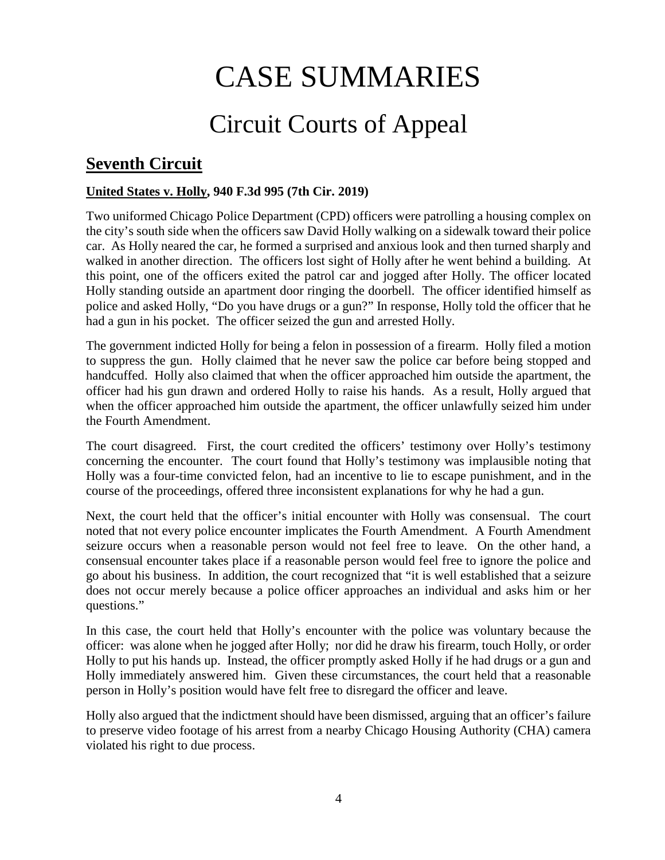# CASE SUMMARIES

# Circuit Courts of Appeal

# <span id="page-3-1"></span><span id="page-3-0"></span>**Seventh Circuit**

#### <span id="page-3-2"></span>**United States v. Holly, 940 F.3d 995 (7th Cir. 2019)**

Two uniformed Chicago Police Department (CPD) officers were patrolling a housing complex on the city's south side when the officers saw David Holly walking on a sidewalk toward their police car. As Holly neared the car, he formed a surprised and anxious look and then turned sharply and walked in another direction. The officers lost sight of Holly after he went behind a building. At this point, one of the officers exited the patrol car and jogged after Holly. The officer located Holly standing outside an apartment door ringing the doorbell. The officer identified himself as police and asked Holly, "Do you have drugs or a gun?" In response, Holly told the officer that he had a gun in his pocket. The officer seized the gun and arrested Holly.

The government indicted Holly for being a felon in possession of a firearm. Holly filed a motion to suppress the gun. Holly claimed that he never saw the police car before being stopped and handcuffed. Holly also claimed that when the officer approached him outside the apartment, the officer had his gun drawn and ordered Holly to raise his hands. As a result, Holly argued that when the officer approached him outside the apartment, the officer unlawfully seized him under the Fourth Amendment.

The court disagreed. First, the court credited the officers' testimony over Holly's testimony concerning the encounter. The court found that Holly's testimony was implausible noting that Holly was a four-time convicted felon, had an incentive to lie to escape punishment, and in the course of the proceedings, offered three inconsistent explanations for why he had a gun.

Next, the court held that the officer's initial encounter with Holly was consensual. The court noted that not every police encounter implicates the Fourth Amendment. A Fourth Amendment seizure occurs when a reasonable person would not feel free to leave. On the other hand, a consensual encounter takes place if a reasonable person would feel free to ignore the police and go about his business. In addition, the court recognized that "it is well established that a seizure does not occur merely because a police officer approaches an individual and asks him or her questions."

In this case, the court held that Holly's encounter with the police was voluntary because the officer: was alone when he jogged after Holly; nor did he draw his firearm, touch Holly, or order Holly to put his hands up. Instead, the officer promptly asked Holly if he had drugs or a gun and Holly immediately answered him. Given these circumstances, the court held that a reasonable person in Holly's position would have felt free to disregard the officer and leave.

Holly also argued that the indictment should have been dismissed, arguing that an officer's failure to preserve video footage of his arrest from a nearby Chicago Housing Authority (CHA) camera violated his right to due process.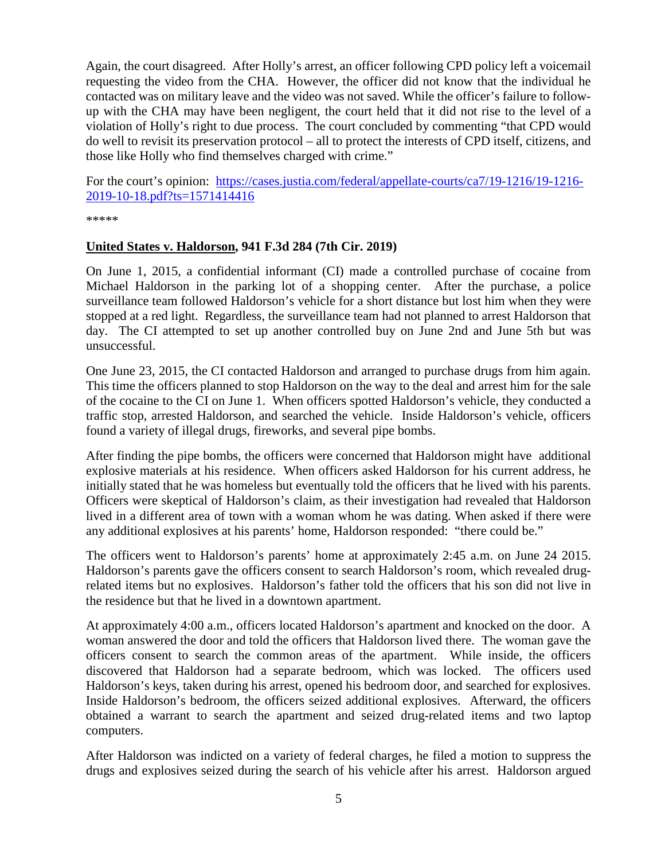Again, the court disagreed. After Holly's arrest, an officer following CPD policy left a voicemail requesting the video from the CHA. However, the officer did not know that the individual he contacted was on military leave and the video was not saved. While the officer's failure to followup with the CHA may have been negligent, the court held that it did not rise to the level of a violation of Holly's right to due process. The court concluded by commenting "that CPD would do well to revisit its preservation protocol – all to protect the interests of CPD itself, citizens, and those like Holly who find themselves charged with crime."

For the court's opinion: [https://cases.justia.com/federal/appellate-courts/ca7/19-1216/19-1216-](https://cases.justia.com/federal/appellate-courts/ca7/19-1216/19-1216-2019-10-18.pdf?ts=1571414416) [2019-10-18.pdf?ts=1571414416](https://cases.justia.com/federal/appellate-courts/ca7/19-1216/19-1216-2019-10-18.pdf?ts=1571414416)

\*\*\*\*\*

#### <span id="page-4-0"></span>**United States v. Haldorson, 941 F.3d 284 (7th Cir. 2019)**

On June 1, 2015, a confidential informant (CI) made a controlled purchase of cocaine from Michael Haldorson in the parking lot of a shopping center. After the purchase, a police surveillance team followed Haldorson's vehicle for a short distance but lost him when they were stopped at a red light. Regardless, the surveillance team had not planned to arrest Haldorson that day. The CI attempted to set up another controlled buy on June 2nd and June 5th but was unsuccessful.

One June 23, 2015, the CI contacted Haldorson and arranged to purchase drugs from him again. This time the officers planned to stop Haldorson on the way to the deal and arrest him for the sale of the cocaine to the CI on June 1. When officers spotted Haldorson's vehicle, they conducted a traffic stop, arrested Haldorson, and searched the vehicle. Inside Haldorson's vehicle, officers found a variety of illegal drugs, fireworks, and several pipe bombs.

After finding the pipe bombs, the officers were concerned that Haldorson might have additional explosive materials at his residence. When officers asked Haldorson for his current address, he initially stated that he was homeless but eventually told the officers that he lived with his parents. Officers were skeptical of Haldorson's claim, as their investigation had revealed that Haldorson lived in a different area of town with a woman whom he was dating. When asked if there were any additional explosives at his parents' home, Haldorson responded: "there could be."

The officers went to Haldorson's parents' home at approximately 2:45 a.m. on June 24 2015. Haldorson's parents gave the officers consent to search Haldorson's room, which revealed drugrelated items but no explosives. Haldorson's father told the officers that his son did not live in the residence but that he lived in a downtown apartment.

At approximately 4:00 a.m., officers located Haldorson's apartment and knocked on the door. A woman answered the door and told the officers that Haldorson lived there. The woman gave the officers consent to search the common areas of the apartment. While inside, the officers discovered that Haldorson had a separate bedroom, which was locked. The officers used Haldorson's keys, taken during his arrest, opened his bedroom door, and searched for explosives. Inside Haldorson's bedroom, the officers seized additional explosives. Afterward, the officers obtained a warrant to search the apartment and seized drug-related items and two laptop computers.

After Haldorson was indicted on a variety of federal charges, he filed a motion to suppress the drugs and explosives seized during the search of his vehicle after his arrest. Haldorson argued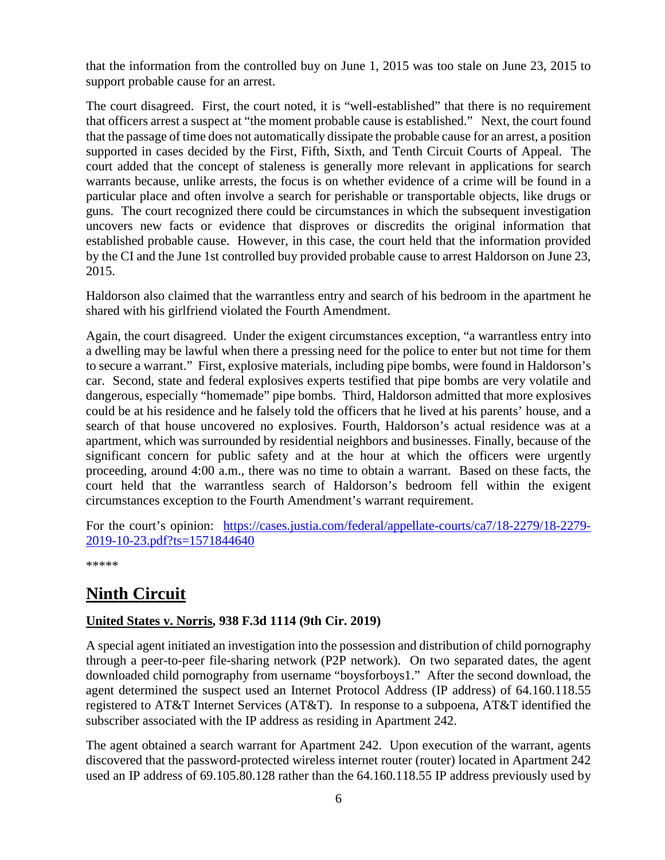that the information from the controlled buy on June 1, 2015 was too stale on June 23, 2015 to support probable cause for an arrest.

The court disagreed. First, the court noted, it is "well-established" that there is no requirement that officers arrest a suspect at "the moment probable cause is established." Next, the court found that the passage of time does not automatically dissipate the probable cause for an arrest, a position supported in cases decided by the First, Fifth, Sixth, and Tenth Circuit Courts of Appeal. The court added that the concept of staleness is generally more relevant in applications for search warrants because, unlike arrests, the focus is on whether evidence of a crime will be found in a particular place and often involve a search for perishable or transportable objects, like drugs or guns. The court recognized there could be circumstances in which the subsequent investigation uncovers new facts or evidence that disproves or discredits the original information that established probable cause. However, in this case, the court held that the information provided by the CI and the June 1st controlled buy provided probable cause to arrest Haldorson on June 23, 2015.

Haldorson also claimed that the warrantless entry and search of his bedroom in the apartment he shared with his girlfriend violated the Fourth Amendment.

Again, the court disagreed. Under the exigent circumstances exception, "a warrantless entry into a dwelling may be lawful when there a pressing need for the police to enter but not time for them to secure a warrant." First, explosive materials, including pipe bombs, were found in Haldorson's car. Second, state and federal explosives experts testified that pipe bombs are very volatile and dangerous, especially "homemade" pipe bombs. Third, Haldorson admitted that more explosives could be at his residence and he falsely told the officers that he lived at his parents' house, and a search of that house uncovered no explosives. Fourth, Haldorson's actual residence was at a apartment, which was surrounded by residential neighbors and businesses. Finally, because of the significant concern for public safety and at the hour at which the officers were urgently proceeding, around 4:00 a.m., there was no time to obtain a warrant. Based on these facts, the court held that the warrantless search of Haldorson's bedroom fell within the exigent circumstances exception to the Fourth Amendment's warrant requirement.

For the court's opinion: [https://cases.justia.com/federal/appellate-courts/ca7/18-2279/18-2279-](https://cases.justia.com/federal/appellate-courts/ca7/18-2279/18-2279-2019-10-23.pdf?ts=1571844640) [2019-10-23.pdf?ts=1571844640](https://cases.justia.com/federal/appellate-courts/ca7/18-2279/18-2279-2019-10-23.pdf?ts=1571844640)

\*\*\*\*\*

# <span id="page-5-0"></span>**Ninth Circuit**

#### <span id="page-5-1"></span>**United States v. Norris, 938 F.3d 1114 (9th Cir. 2019)**

A special agent initiated an investigation into the possession and distribution of child pornography through a peer-to-peer file-sharing network (P2P network). On two separated dates, the agent downloaded child pornography from username "boysforboys1." After the second download, the agent determined the suspect used an Internet Protocol Address (IP address) of 64.160.118.55 registered to AT&T Internet Services (AT&T). In response to a subpoena, AT&T identified the subscriber associated with the IP address as residing in Apartment 242.

The agent obtained a search warrant for Apartment 242. Upon execution of the warrant, agents discovered that the password-protected wireless internet router (router) located in Apartment 242 used an IP address of 69.105.80.128 rather than the 64.160.118.55 IP address previously used by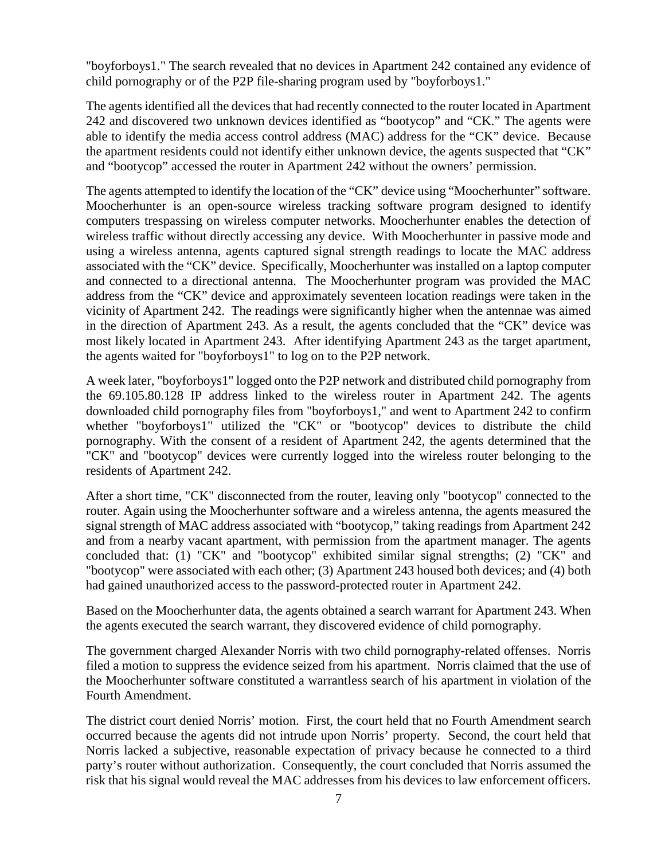"boyforboys1." The search revealed that no devices in Apartment 242 contained any evidence of child pornography or of the P2P file-sharing program used by "boyforboys1."

The agents identified all the devices that had recently connected to the router located in Apartment 242 and discovered two unknown devices identified as "bootycop" and "CK." The agents were able to identify the media access control address (MAC) address for the "CK" device. Because the apartment residents could not identify either unknown device, the agents suspected that "CK" and "bootycop" accessed the router in Apartment 242 without the owners' permission.

The agents attempted to identify the location of the "CK" device using "Moocherhunter" software. Moocherhunter is an open-source wireless tracking software program designed to identify computers trespassing on wireless computer networks. Moocherhunter enables the detection of wireless traffic without directly accessing any device. With Moocherhunter in passive mode and using a wireless antenna, agents captured signal strength readings to locate the MAC address associated with the "CK" device. Specifically, Moocherhunter was installed on a laptop computer and connected to a directional antenna. The Moocherhunter program was provided the MAC address from the "CK" device and approximately seventeen location readings were taken in the vicinity of Apartment 242. The readings were significantly higher when the antennae was aimed in the direction of Apartment 243. As a result, the agents concluded that the "CK" device was most likely located in Apartment 243. After identifying Apartment 243 as the target apartment, the agents waited for "boyforboys1" to log on to the P2P network.

A week later, "boyforboys1" logged onto the P2P network and distributed child pornography from the 69.105.80.128 IP address linked to the wireless router in Apartment 242. The agents downloaded child pornography files from "boyforboys1," and went to Apartment 242 to confirm whether "boyforboys1" utilized the "CK" or "bootycop" devices to distribute the child pornography. With the consent of a resident of Apartment 242, the agents determined that the "CK" and "bootycop" devices were currently logged into the wireless router belonging to the residents of Apartment 242.

After a short time, "CK" disconnected from the router, leaving only "bootycop" connected to the router. Again using the Moocherhunter software and a wireless antenna, the agents measured the signal strength of MAC address associated with "bootycop," taking readings from Apartment 242 and from a nearby vacant apartment, with permission from the apartment manager. The agents concluded that: (1) "CK" and "bootycop" exhibited similar signal strengths; (2) "CK" and "bootycop" were associated with each other; (3) Apartment 243 housed both devices; and (4) both had gained unauthorized access to the password-protected router in Apartment 242.

Based on the Moocherhunter data, the agents obtained a search warrant for Apartment 243. When the agents executed the search warrant, they discovered evidence of child pornography.

The government charged Alexander Norris with two child pornography-related offenses. Norris filed a motion to suppress the evidence seized from his apartment. Norris claimed that the use of the Moocherhunter software constituted a warrantless search of his apartment in violation of the Fourth Amendment.

The district court denied Norris' motion. First, the court held that no Fourth Amendment search occurred because the agents did not intrude upon Norris' property. Second, the court held that Norris lacked a subjective, reasonable expectation of privacy because he connected to a third party's router without authorization. Consequently, the court concluded that Norris assumed the risk that his signal would reveal the MAC addresses from his devices to law enforcement officers.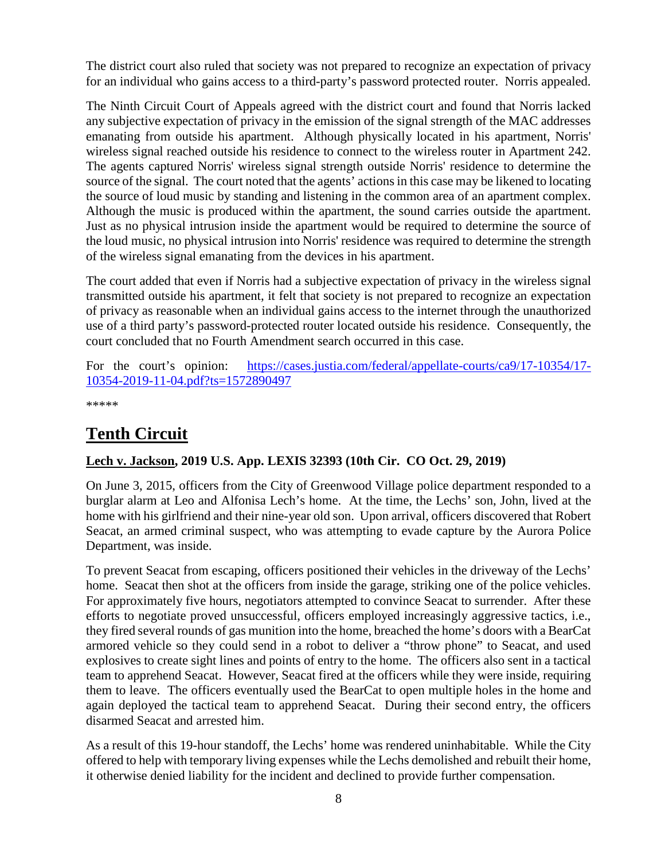The district court also ruled that society was not prepared to recognize an expectation of privacy for an individual who gains access to a third-party's password protected router. Norris appealed.

The Ninth Circuit Court of Appeals agreed with the district court and found that Norris lacked any subjective expectation of privacy in the emission of the signal strength of the MAC addresses emanating from outside his apartment. Although physically located in his apartment, Norris' wireless signal reached outside his residence to connect to the wireless router in Apartment 242. The agents captured Norris' wireless signal strength outside Norris' residence to determine the source of the signal. The court noted that the agents' actions in this case may be likened to locating the source of loud music by standing and listening in the common area of an apartment complex. Although the music is produced within the apartment, the sound carries outside the apartment. Just as no physical intrusion inside the apartment would be required to determine the source of the loud music, no physical intrusion into Norris' residence was required to determine the strength of the wireless signal emanating from the devices in his apartment.

The court added that even if Norris had a subjective expectation of privacy in the wireless signal transmitted outside his apartment, it felt that society is not prepared to recognize an expectation of privacy as reasonable when an individual gains access to the internet through the unauthorized use of a third party's password-protected router located outside his residence. Consequently, the court concluded that no Fourth Amendment search occurred in this case.

For the court's opinion: [https://cases.justia.com/federal/appellate-courts/ca9/17-10354/17-](https://cases.justia.com/federal/appellate-courts/ca9/17-10354/17-10354-2019-11-04.pdf?ts=1572890497) [10354-2019-11-04.pdf?ts=1572890497](https://cases.justia.com/federal/appellate-courts/ca9/17-10354/17-10354-2019-11-04.pdf?ts=1572890497)

\*\*\*\*\*

# <span id="page-7-0"></span>**Tenth Circuit**

#### <span id="page-7-1"></span>**Lech v. Jackson, 2019 U.S. App. LEXIS 32393 (10th Cir. CO Oct. 29, 2019)**

On June 3, 2015, officers from the City of Greenwood Village police department responded to a burglar alarm at Leo and Alfonisa Lech's home. At the time, the Lechs' son, John, lived at the home with his girlfriend and their nine-year old son. Upon arrival, officers discovered that Robert Seacat, an armed criminal suspect, who was attempting to evade capture by the Aurora Police Department, was inside.

To prevent Seacat from escaping, officers positioned their vehicles in the driveway of the Lechs' home. Seacat then shot at the officers from inside the garage, striking one of the police vehicles. For approximately five hours, negotiators attempted to convince Seacat to surrender. After these efforts to negotiate proved unsuccessful, officers employed increasingly aggressive tactics, i.e., they fired several rounds of gas munition into the home, breached the home's doors with a BearCat armored vehicle so they could send in a robot to deliver a "throw phone" to Seacat, and used explosives to create sight lines and points of entry to the home. The officers also sent in a tactical team to apprehend Seacat. However, Seacat fired at the officers while they were inside, requiring them to leave. The officers eventually used the BearCat to open multiple holes in the home and again deployed the tactical team to apprehend Seacat. During their second entry, the officers disarmed Seacat and arrested him.

As a result of this 19-hour standoff, the Lechs' home was rendered uninhabitable. While the City offered to help with temporary living expenses while the Lechs demolished and rebuilt their home, it otherwise denied liability for the incident and declined to provide further compensation.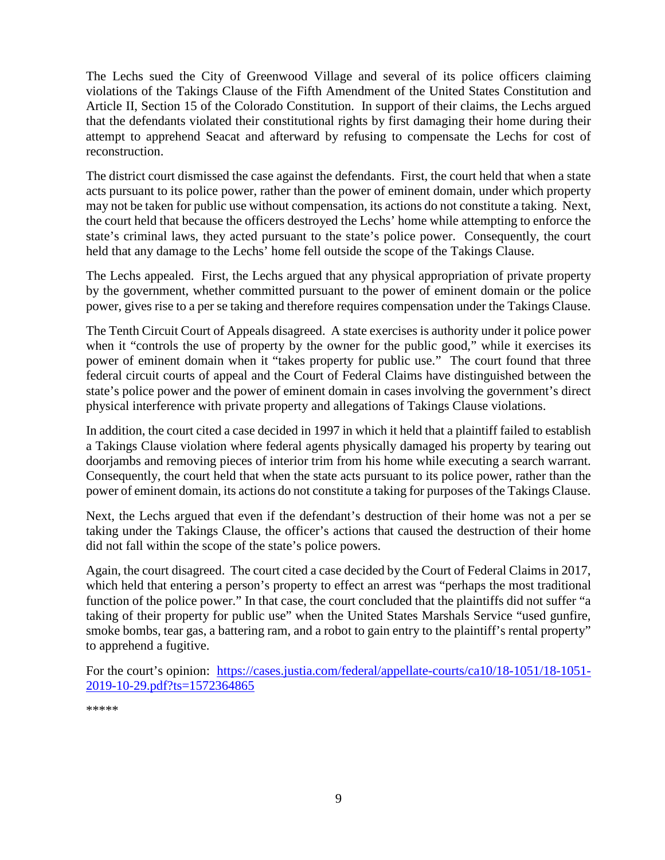The Lechs sued the City of Greenwood Village and several of its police officers claiming violations of the Takings Clause of the Fifth Amendment of the United States Constitution and Article II, Section 15 of the Colorado Constitution. In support of their claims, the Lechs argued that the defendants violated their constitutional rights by first damaging their home during their attempt to apprehend Seacat and afterward by refusing to compensate the Lechs for cost of reconstruction.

The district court dismissed the case against the defendants. First, the court held that when a state acts pursuant to its police power, rather than the power of eminent domain, under which property may not be taken for public use without compensation, its actions do not constitute a taking. Next, the court held that because the officers destroyed the Lechs' home while attempting to enforce the state's criminal laws, they acted pursuant to the state's police power. Consequently, the court held that any damage to the Lechs' home fell outside the scope of the Takings Clause.

The Lechs appealed. First, the Lechs argued that any physical appropriation of private property by the government, whether committed pursuant to the power of eminent domain or the police power, gives rise to a per se taking and therefore requires compensation under the Takings Clause.

The Tenth Circuit Court of Appeals disagreed. A state exercises is authority under it police power when it "controls the use of property by the owner for the public good," while it exercises its power of eminent domain when it "takes property for public use." The court found that three federal circuit courts of appeal and the Court of Federal Claims have distinguished between the state's police power and the power of eminent domain in cases involving the government's direct physical interference with private property and allegations of Takings Clause violations.

In addition, the court cited a case decided in 1997 in which it held that a plaintiff failed to establish a Takings Clause violation where federal agents physically damaged his property by tearing out doorjambs and removing pieces of interior trim from his home while executing a search warrant. Consequently, the court held that when the state acts pursuant to its police power, rather than the power of eminent domain, its actions do not constitute a taking for purposes of the Takings Clause.

Next, the Lechs argued that even if the defendant's destruction of their home was not a per se taking under the Takings Clause, the officer's actions that caused the destruction of their home did not fall within the scope of the state's police powers.

Again, the court disagreed. The court cited a case decided by the Court of Federal Claims in 2017, which held that entering a person's property to effect an arrest was "perhaps the most traditional function of the police power." In that case, the court concluded that the plaintiffs did not suffer "a taking of their property for public use" when the United States Marshals Service "used gunfire, smoke bombs, tear gas, a battering ram, and a robot to gain entry to the plaintiff's rental property" to apprehend a fugitive.

For the court's opinion: [https://cases.justia.com/federal/appellate-courts/ca10/18-1051/18-1051-](https://cases.justia.com/federal/appellate-courts/ca10/18-1051/18-1051-2019-10-29.pdf?ts=1572364865) [2019-10-29.pdf?ts=1572364865](https://cases.justia.com/federal/appellate-courts/ca10/18-1051/18-1051-2019-10-29.pdf?ts=1572364865)

\*\*\*\*\*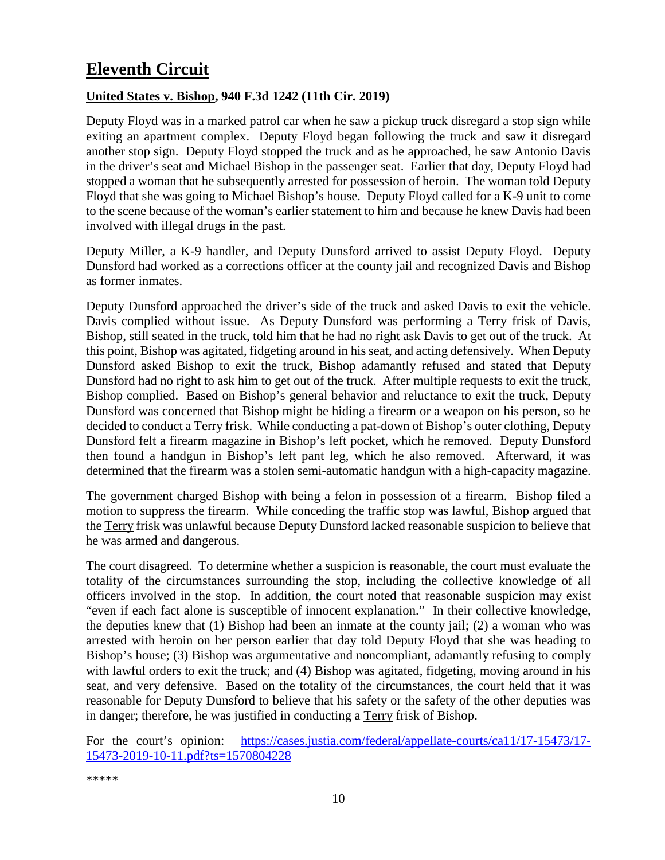# <span id="page-9-0"></span>**Eleventh Circuit**

#### <span id="page-9-1"></span>**United States v. Bishop, 940 F.3d 1242 (11th Cir. 2019)**

Deputy Floyd was in a marked patrol car when he saw a pickup truck disregard a stop sign while exiting an apartment complex. Deputy Floyd began following the truck and saw it disregard another stop sign. Deputy Floyd stopped the truck and as he approached, he saw Antonio Davis in the driver's seat and Michael Bishop in the passenger seat. Earlier that day, Deputy Floyd had stopped a woman that he subsequently arrested for possession of heroin. The woman told Deputy Floyd that she was going to Michael Bishop's house. Deputy Floyd called for a K-9 unit to come to the scene because of the woman's earlier statement to him and because he knew Davis had been involved with illegal drugs in the past.

Deputy Miller, a K-9 handler, and Deputy Dunsford arrived to assist Deputy Floyd. Deputy Dunsford had worked as a corrections officer at the county jail and recognized Davis and Bishop as former inmates.

Deputy Dunsford approached the driver's side of the truck and asked Davis to exit the vehicle. Davis complied without issue. As Deputy Dunsford was performing a Terry frisk of Davis, Bishop, still seated in the truck, told him that he had no right ask Davis to get out of the truck. At this point, Bishop was agitated, fidgeting around in his seat, and acting defensively. When Deputy Dunsford asked Bishop to exit the truck, Bishop adamantly refused and stated that Deputy Dunsford had no right to ask him to get out of the truck. After multiple requests to exit the truck, Bishop complied. Based on Bishop's general behavior and reluctance to exit the truck, Deputy Dunsford was concerned that Bishop might be hiding a firearm or a weapon on his person, so he decided to conduct a Terry frisk. While conducting a pat-down of Bishop's outer clothing, Deputy Dunsford felt a firearm magazine in Bishop's left pocket, which he removed. Deputy Dunsford then found a handgun in Bishop's left pant leg, which he also removed. Afterward, it was determined that the firearm was a stolen semi-automatic handgun with a high-capacity magazine.

The government charged Bishop with being a felon in possession of a firearm. Bishop filed a motion to suppress the firearm. While conceding the traffic stop was lawful, Bishop argued that the Terry frisk was unlawful because Deputy Dunsford lacked reasonable suspicion to believe that he was armed and dangerous.

The court disagreed. To determine whether a suspicion is reasonable, the court must evaluate the totality of the circumstances surrounding the stop, including the collective knowledge of all officers involved in the stop. In addition, the court noted that reasonable suspicion may exist "even if each fact alone is susceptible of innocent explanation." In their collective knowledge, the deputies knew that (1) Bishop had been an inmate at the county jail; (2) a woman who was arrested with heroin on her person earlier that day told Deputy Floyd that she was heading to Bishop's house; (3) Bishop was argumentative and noncompliant, adamantly refusing to comply with lawful orders to exit the truck; and (4) Bishop was agitated, fidgeting, moving around in his seat, and very defensive. Based on the totality of the circumstances, the court held that it was reasonable for Deputy Dunsford to believe that his safety or the safety of the other deputies was in danger; therefore, he was justified in conducting a Terry frisk of Bishop.

For the court's opinion: [https://cases.justia.com/federal/appellate-courts/ca11/17-15473/17-](https://cases.justia.com/federal/appellate-courts/ca11/17-15473/17-15473-2019-10-11.pdf?ts=1570804228) [15473-2019-10-11.pdf?ts=1570804228](https://cases.justia.com/federal/appellate-courts/ca11/17-15473/17-15473-2019-10-11.pdf?ts=1570804228)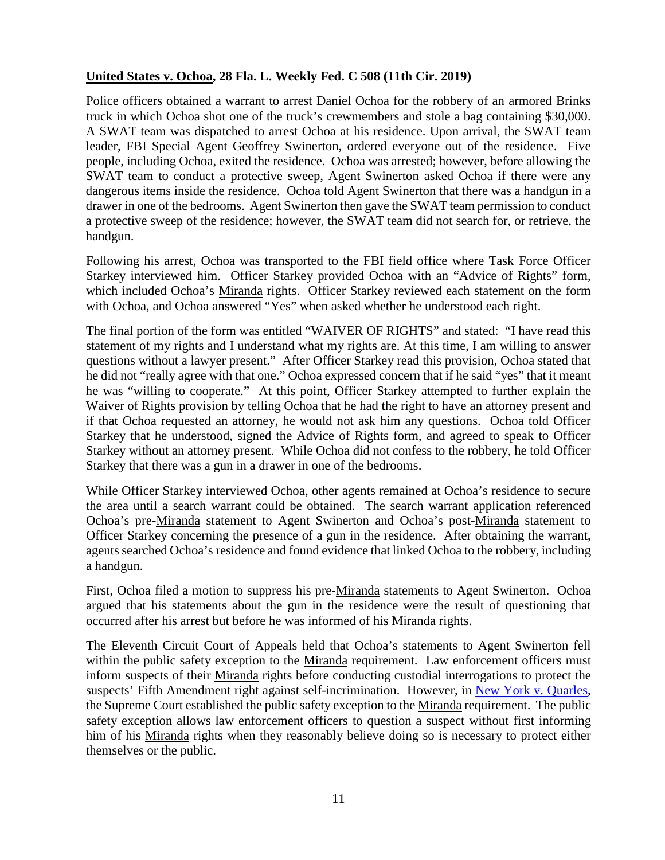#### <span id="page-10-0"></span>**United States v. Ochoa, 28 Fla. L. Weekly Fed. C 508 (11th Cir. 2019)**

Police officers obtained a warrant to arrest Daniel Ochoa for the robbery of an armored Brinks truck in which Ochoa shot one of the truck's crewmembers and stole a bag containing \$30,000. A SWAT team was dispatched to arrest Ochoa at his residence. Upon arrival, the SWAT team leader, FBI Special Agent Geoffrey Swinerton, ordered everyone out of the residence. Five people, including Ochoa, exited the residence. Ochoa was arrested; however, before allowing the SWAT team to conduct a protective sweep, Agent Swinerton asked Ochoa if there were any dangerous items inside the residence. Ochoa told Agent Swinerton that there was a handgun in a drawer in one of the bedrooms. Agent Swinerton then gave the SWAT team permission to conduct a protective sweep of the residence; however, the SWAT team did not search for, or retrieve, the handgun.

Following his arrest, Ochoa was transported to the FBI field office where Task Force Officer Starkey interviewed him. Officer Starkey provided Ochoa with an "Advice of Rights" form, which included Ochoa's Miranda rights. Officer Starkey reviewed each statement on the form with Ochoa, and Ochoa answered "Yes" when asked whether he understood each right.

The final portion of the form was entitled "WAIVER OF RIGHTS" and stated: "I have read this statement of my rights and I understand what my rights are. At this time, I am willing to answer questions without a lawyer present." After Officer Starkey read this provision, Ochoa stated that he did not "really agree with that one." Ochoa expressed concern that if he said "yes" that it meant he was "willing to cooperate." At this point, Officer Starkey attempted to further explain the Waiver of Rights provision by telling Ochoa that he had the right to have an attorney present and if that Ochoa requested an attorney, he would not ask him any questions. Ochoa told Officer Starkey that he understood, signed the Advice of Rights form, and agreed to speak to Officer Starkey without an attorney present. While Ochoa did not confess to the robbery, he told Officer Starkey that there was a gun in a drawer in one of the bedrooms.

While Officer Starkey interviewed Ochoa, other agents remained at Ochoa's residence to secure the area until a search warrant could be obtained. The search warrant application referenced Ochoa's pre-Miranda statement to Agent Swinerton and Ochoa's post-Miranda statement to Officer Starkey concerning the presence of a gun in the residence. After obtaining the warrant, agents searched Ochoa's residence and found evidence that linked Ochoa to the robbery, including a handgun.

First, Ochoa filed a motion to suppress his pre-Miranda statements to Agent Swinerton. Ochoa argued that his statements about the gun in the residence were the result of questioning that occurred after his arrest but before he was informed of his Miranda rights.

The Eleventh Circuit Court of Appeals held that Ochoa's statements to Agent Swinerton fell within the public safety exception to the Miranda requirement. Law enforcement officers must inform suspects of their Miranda rights before conducting custodial interrogations to protect the suspects' Fifth Amendment right against self-incrimination. However, in [New York v. Quarles,](https://supreme.justia.com/cases/federal/us/467/649/) the Supreme Court established the public safety exception to the Miranda requirement. The public safety exception allows law enforcement officers to question a suspect without first informing him of his Miranda rights when they reasonably believe doing so is necessary to protect either themselves or the public.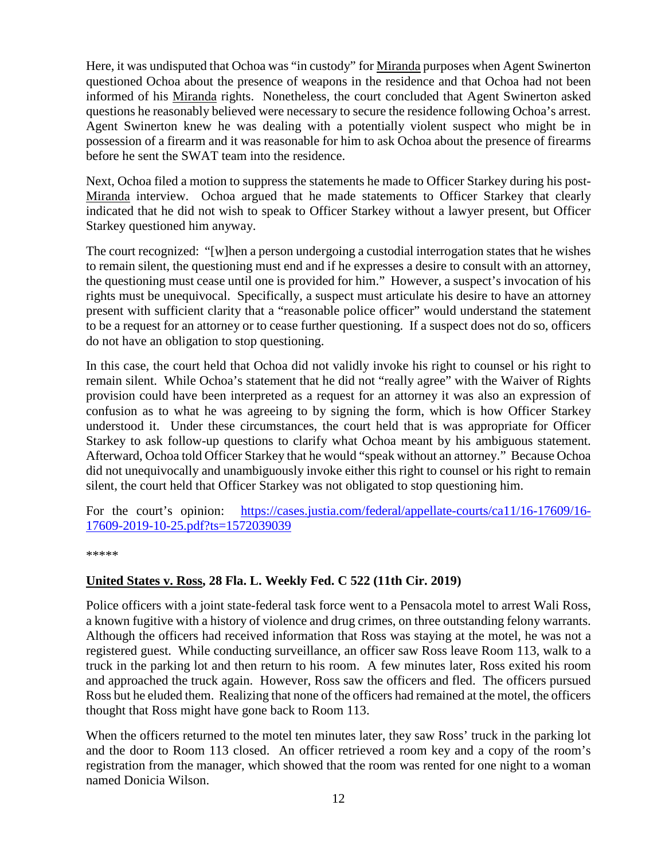Here, it was undisputed that Ochoa was "in custody" for Miranda purposes when Agent Swinerton questioned Ochoa about the presence of weapons in the residence and that Ochoa had not been informed of his Miranda rights. Nonetheless, the court concluded that Agent Swinerton asked questions he reasonably believed were necessary to secure the residence following Ochoa's arrest. Agent Swinerton knew he was dealing with a potentially violent suspect who might be in possession of a firearm and it was reasonable for him to ask Ochoa about the presence of firearms before he sent the SWAT team into the residence.

Next, Ochoa filed a motion to suppress the statements he made to Officer Starkey during his post-Miranda interview. Ochoa argued that he made statements to Officer Starkey that clearly indicated that he did not wish to speak to Officer Starkey without a lawyer present, but Officer Starkey questioned him anyway.

The court recognized: "[w]hen a person undergoing a custodial interrogation states that he wishes to remain silent, the questioning must end and if he expresses a desire to consult with an attorney, the questioning must cease until one is provided for him." However, a suspect's invocation of his rights must be unequivocal. Specifically, a suspect must articulate his desire to have an attorney present with sufficient clarity that a "reasonable police officer" would understand the statement to be a request for an attorney or to cease further questioning. If a suspect does not do so, officers do not have an obligation to stop questioning.

In this case, the court held that Ochoa did not validly invoke his right to counsel or his right to remain silent. While Ochoa's statement that he did not "really agree" with the Waiver of Rights provision could have been interpreted as a request for an attorney it was also an expression of confusion as to what he was agreeing to by signing the form, which is how Officer Starkey understood it. Under these circumstances, the court held that is was appropriate for Officer Starkey to ask follow-up questions to clarify what Ochoa meant by his ambiguous statement. Afterward, Ochoa told Officer Starkey that he would "speak without an attorney." Because Ochoa did not unequivocally and unambiguously invoke either this right to counsel or his right to remain silent, the court held that Officer Starkey was not obligated to stop questioning him.

For the court's opinion: [https://cases.justia.com/federal/appellate-courts/ca11/16-17609/16-](https://cases.justia.com/federal/appellate-courts/ca11/16-17609/16-17609-2019-10-25.pdf?ts=1572039039) [17609-2019-10-25.pdf?ts=1572039039](https://cases.justia.com/federal/appellate-courts/ca11/16-17609/16-17609-2019-10-25.pdf?ts=1572039039)

\*\*\*\*\*

#### <span id="page-11-0"></span>**United States v. Ross, 28 Fla. L. Weekly Fed. C 522 (11th Cir. 2019)**

Police officers with a joint state-federal task force went to a Pensacola motel to arrest Wali Ross, a known fugitive with a history of violence and drug crimes, on three outstanding felony warrants. Although the officers had received information that Ross was staying at the motel, he was not a registered guest. While conducting surveillance, an officer saw Ross leave Room 113, walk to a truck in the parking lot and then return to his room. A few minutes later, Ross exited his room and approached the truck again. However, Ross saw the officers and fled. The officers pursued Ross but he eluded them. Realizing that none of the officers had remained at the motel, the officers thought that Ross might have gone back to Room 113.

When the officers returned to the motel ten minutes later, they saw Ross' truck in the parking lot and the door to Room 113 closed. An officer retrieved a room key and a copy of the room's registration from the manager, which showed that the room was rented for one night to a woman named Donicia Wilson.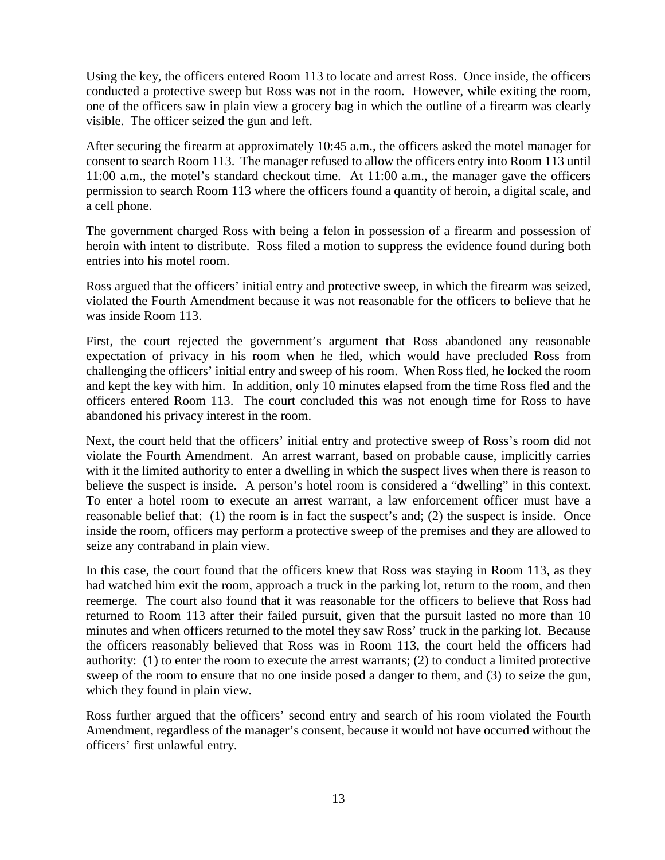Using the key, the officers entered Room 113 to locate and arrest Ross. Once inside, the officers conducted a protective sweep but Ross was not in the room. However, while exiting the room, one of the officers saw in plain view a grocery bag in which the outline of a firearm was clearly visible. The officer seized the gun and left.

After securing the firearm at approximately 10:45 a.m., the officers asked the motel manager for consent to search Room 113. The manager refused to allow the officers entry into Room 113 until 11:00 a.m., the motel's standard checkout time. At 11:00 a.m., the manager gave the officers permission to search Room 113 where the officers found a quantity of heroin, a digital scale, and a cell phone.

The government charged Ross with being a felon in possession of a firearm and possession of heroin with intent to distribute. Ross filed a motion to suppress the evidence found during both entries into his motel room.

Ross argued that the officers' initial entry and protective sweep, in which the firearm was seized, violated the Fourth Amendment because it was not reasonable for the officers to believe that he was inside Room 113.

First, the court rejected the government's argument that Ross abandoned any reasonable expectation of privacy in his room when he fled, which would have precluded Ross from challenging the officers' initial entry and sweep of his room. When Ross fled, he locked the room and kept the key with him. In addition, only 10 minutes elapsed from the time Ross fled and the officers entered Room 113. The court concluded this was not enough time for Ross to have abandoned his privacy interest in the room.

Next, the court held that the officers' initial entry and protective sweep of Ross's room did not violate the Fourth Amendment. An arrest warrant, based on probable cause, implicitly carries with it the limited authority to enter a dwelling in which the suspect lives when there is reason to believe the suspect is inside. A person's hotel room is considered a "dwelling" in this context. To enter a hotel room to execute an arrest warrant, a law enforcement officer must have a reasonable belief that: (1) the room is in fact the suspect's and; (2) the suspect is inside. Once inside the room, officers may perform a protective sweep of the premises and they are allowed to seize any contraband in plain view.

In this case, the court found that the officers knew that Ross was staying in Room 113, as they had watched him exit the room, approach a truck in the parking lot, return to the room, and then reemerge. The court also found that it was reasonable for the officers to believe that Ross had returned to Room 113 after their failed pursuit, given that the pursuit lasted no more than 10 minutes and when officers returned to the motel they saw Ross' truck in the parking lot. Because the officers reasonably believed that Ross was in Room 113, the court held the officers had authority: (1) to enter the room to execute the arrest warrants; (2) to conduct a limited protective sweep of the room to ensure that no one inside posed a danger to them, and (3) to seize the gun, which they found in plain view.

Ross further argued that the officers' second entry and search of his room violated the Fourth Amendment, regardless of the manager's consent, because it would not have occurred without the officers' first unlawful entry.